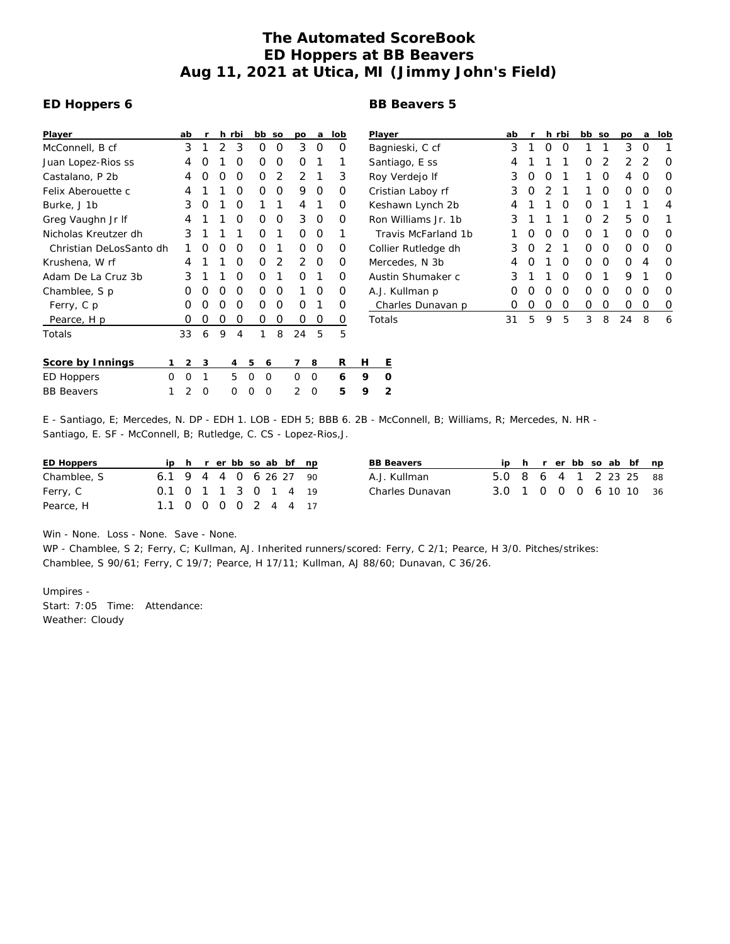## **The Automated ScoreBook ED Hoppers at BB Beavers Aug 11, 2021 at Utica, MI (Jimmy John's Field)**

## **ED Hoppers 6**

## **BB Beavers 5**

| Player                  |   | ab | r | h | rbi |   | bb | SO | po | a | lob |   | Playe  |
|-------------------------|---|----|---|---|-----|---|----|----|----|---|-----|---|--------|
| McConnell, B cf         |   | 3  | 1 | 2 | 3   |   | Ο  | O  | 3  | Ω | Ο   |   | Bagr   |
| Juan Lopez-Rios ss      |   | 4  | Ω | 1 | 0   |   | O  | O  | Ο  | 1 | 1   |   | Sant   |
| Castalano, P 2b         |   | 4  | Ω | Ο | 0   |   | Ο  | 2  | 2  | 1 | 3   |   | Roy '  |
| Felix Aberouette c      |   | 4  |   | 1 | 0   |   | Ο  | O  | 9  | Ω | Ο   |   | Crist  |
| Burke, J 1b             |   | 3  | O | 1 | 0   |   | 1  | 1  | 4  | 1 | Ο   |   | Kesh   |
| Greg Vaughn Jr If       |   | 4  |   | 1 | 0   |   | Ω  | O  | 3  | Ω | Ο   |   | Ron '  |
| Nicholas Kreutzer dh    |   | 3  | 1 | 1 | 1   |   | Ω  | 1  | Ο  | Ω | 1   |   | Tra    |
| Christian DeLosSanto dh |   | 1  | Ω | Ο | 0   |   | Ο  | 1  | Ο  | Ω | Ο   |   | Collie |
| Krushena, W rf          |   | 4  |   | 1 | 0   |   | Ω  | 2  | 2  | Ω | Ο   |   | Merc   |
| Adam De La Cruz 3b      |   | 3  |   | 1 | 0   |   | Ο  | 1  | Ω  | 1 | Ο   |   | Austi  |
| Chamblee, S p           |   | Ω  | Ω | O | 0   |   | Ο  | O  | 1  | Ω | Ο   |   | A.J. I |
| Ferry, C p              |   | O  | ∩ | O | 0   |   | Ω  | O  | Ω  | 1 | Ο   |   | Cha    |
| Pearce, H p             |   | Ω  | Ο | 0 | 0   |   | Ο  | Ο  | Ο  | Ο | O   |   | Total  |
| Totals                  |   | 33 | 6 | 9 | 4   |   | 1  | 8  | 24 | 5 | 5   |   |        |
| Score by Innings        | 1 | 2  | 3 |   | 4   | 5 | 6  |    | 7  | 8 | R   | Н | Ε      |
| ED Hoppers              | Ω | O  | 1 |   | 5   | O | O  |    | Ω  | O | 6   | 9 | O      |
| <b>BB</b> Beavers       | 1 | 2  | Ω |   | Ω   | Ω | O  |    | 2  | O | 5   | 9 | 2      |
|                         |   |    |   |   |     |   |    |    |    |   |     |   |        |

| Player              | ab               | r | h.            | rbi              | bb | SO | po | a | lob              |
|---------------------|------------------|---|---------------|------------------|----|----|----|---|------------------|
| Bagnieski, C cf     | 3                | 1 | O             | $\left( \right)$ | 1  | 1  | 3  | O | 1                |
| Santiago, E ss      | 4                | 1 | 1             | 1                | Ο  | 2  | 2  | 2 | Ω                |
| Roy Verdejo If      | 3                | O | O             | 1                | 1  | Ω  | 4  | O | Ω                |
| Cristian Laboy rf   | 3                | O | $\mathcal{D}$ | 1                | 1  | Ω  | Ω  | O | Ω                |
| Keshawn Lynch 2b    | 4                | 1 | 1             | O                | O  | 1  | 1  | 1 | 4                |
| Ron Williams Jr. 1b | 3                | 1 | 1             | 1                | O  | 2  | 5  | O | 1                |
| Travis McFarland 1b | 1                | O | Ω             | O                | ∩  | 1  | Ω  | ∩ | Ω                |
| Collier Rutledge dh | 3                | O | 2             | 1                | O  | Ω  | Ω  | O | ∩                |
| Mercedes, N 3b      | 4                | O | 1             | O                | O  | Ω  | Ω  | 4 | O                |
| Austin Shumaker c   | 3                | 1 | 1             | ∩                | O  | 1  | 9  | 1 | ∩                |
| A.J. Kullman p      | $\left( \right)$ | O | O             | O                | ∩  | Ω  | Ω  | ∩ | ∩                |
| Charles Dunavan p   | $\left( \right)$ | Ω | Ω             | O                | Ω  | Ο  | Ω  | O | $\left( \right)$ |
| Totals              | 31               | 5 | 9             | 5                | 3  | 8  | 24 | 8 | 6                |

E - Santiago, E; Mercedes, N. DP - EDH 1. LOB - EDH 5; BBB 6. 2B - McConnell, B; Williams, R; Mercedes, N. HR - Santiago, E. SF - McConnell, B; Rutledge, C. CS - Lopez-Rios,J.

| ED Hoppers  |                          |  |  |  | ip h r er bb so ab bf np | ВE |
|-------------|--------------------------|--|--|--|--------------------------|----|
| Chamblee, S | $6.1$ 9 4 4 0 6 26 27 90 |  |  |  |                          | А. |
| Ferry, C    | 0.1 0 1 1 3 0 1 4 19     |  |  |  |                          | Ch |
| Pearce, H   | 1.1 0 0 0 0 2 4 4 17     |  |  |  |                          |    |

| BB Beavers       |                        |  |  |  | ip h r er bb so ab bf np |
|------------------|------------------------|--|--|--|--------------------------|
| A.J. Kullman.    | 5.0 8 6 4 1 2 23 25 88 |  |  |  |                          |
| Charles Dunavan. | 3.0 1 0 0 0 6 10 10 36 |  |  |  |                          |

Win - None. Loss - None. Save - None.

WP - Chamblee, S 2; Ferry, C; Kullman, AJ. Inherited runners/scored: Ferry, C 2/1; Pearce, H 3/0. Pitches/strikes: Chamblee, S 90/61; Ferry, C 19/7; Pearce, H 17/11; Kullman, AJ 88/60; Dunavan, C 36/26.

Umpires - Start: 7:05 Time: Attendance: Weather: Cloudy